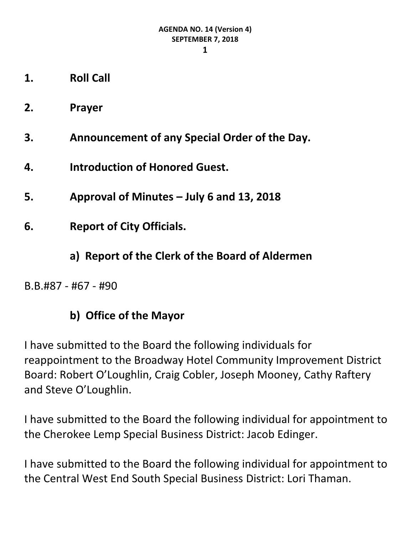**1**

- **1. Roll Call**
- **2. Prayer**
- **3. Announcement of any Special Order of the Day.**
- **4. Introduction of Honored Guest.**
- **5. Approval of Minutes – July 6 and 13, 2018**
- **6. Report of City Officials.**
	- **a) Report of the Clerk of the Board of Aldermen**

B.B.#87 - #67 - #90

## **b) Office of the Mayor**

I have submitted to the Board the following individuals for reappointment to the Broadway Hotel Community Improvement District Board: Robert O'Loughlin, Craig Cobler, Joseph Mooney, Cathy Raftery and Steve O'Loughlin.

I have submitted to the Board the following individual for appointment to the Cherokee Lemp Special Business District: Jacob Edinger.

I have submitted to the Board the following individual for appointment to the Central West End South Special Business District: Lori Thaman.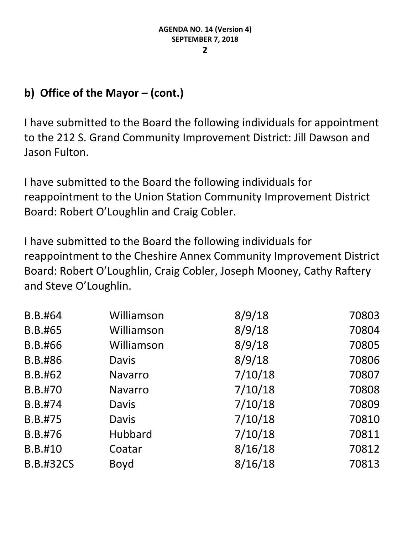# **b) Office of the Mayor – (cont.)**

I have submitted to the Board the following individuals for appointment to the 212 S. Grand Community Improvement District: Jill Dawson and Jason Fulton.

I have submitted to the Board the following individuals for reappointment to the Union Station Community Improvement District Board: Robert O'Loughlin and Craig Cobler.

I have submitted to the Board the following individuals for reappointment to the Cheshire Annex Community Improvement District Board: Robert O'Loughlin, Craig Cobler, Joseph Mooney, Cathy Raftery and Steve O'Loughlin.

| Williamson     | 8/9/18  | 70803 |
|----------------|---------|-------|
| Williamson     | 8/9/18  | 70804 |
| Williamson     | 8/9/18  | 70805 |
| <b>Davis</b>   | 8/9/18  | 70806 |
| <b>Navarro</b> | 7/10/18 | 70807 |
| <b>Navarro</b> | 7/10/18 | 70808 |
| <b>Davis</b>   | 7/10/18 | 70809 |
| <b>Davis</b>   | 7/10/18 | 70810 |
| Hubbard        | 7/10/18 | 70811 |
| Coatar         | 8/16/18 | 70812 |
| Boyd           | 8/16/18 | 70813 |
|                |         |       |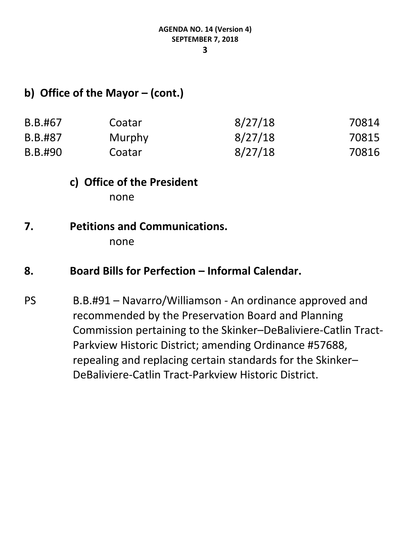#### **3**

#### **b) Office of the Mayor – (cont.)**

| B.B.#67 | Coatar | 8/27/18 | 70814 |
|---------|--------|---------|-------|
| B.B.#87 | Murphy | 8/27/18 | 70815 |
| B.B.#90 | Coatar | 8/27/18 | 70816 |

# **c) Office of the President**

none

## **7. Petitions and Communications.**

none

#### 8. **Board Bills for Perfection – Informal Calendar.**

PS B.B.#91 – Navarro/Williamson - An ordinance approved and recommended by the Preservation Board and Planning Commission pertaining to the Skinker–DeBaliviere-Catlin Tract-Parkview Historic District; amending Ordinance #57688, repealing and replacing certain standards for the Skinker– DeBaliviere-Catlin Tract-Parkview Historic District.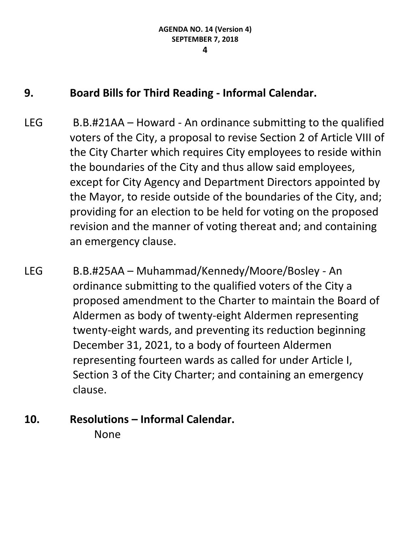## **9. Board Bills for Third Reading - Informal Calendar.**

- LEG B.B.#21AA Howard An ordinance submitting to the qualified voters of the City, a proposal to revise Section 2 of Article VIII of the City Charter which requires City employees to reside within the boundaries of the City and thus allow said employees, except for City Agency and Department Directors appointed by the Mayor, to reside outside of the boundaries of the City, and; providing for an election to be held for voting on the proposed revision and the manner of voting thereat and; and containing an emergency clause.
- LEG B.B.#25AA Muhammad/Kennedy/Moore/Bosley An ordinance submitting to the qualified voters of the City a proposed amendment to the Charter to maintain the Board of Aldermen as body of twenty-eight Aldermen representing twenty-eight wards, and preventing its reduction beginning December 31, 2021, to a body of fourteen Aldermen representing fourteen wards as called for under Article I, Section 3 of the City Charter; and containing an emergency clause.
- **10. Resolutions – Informal Calendar.** None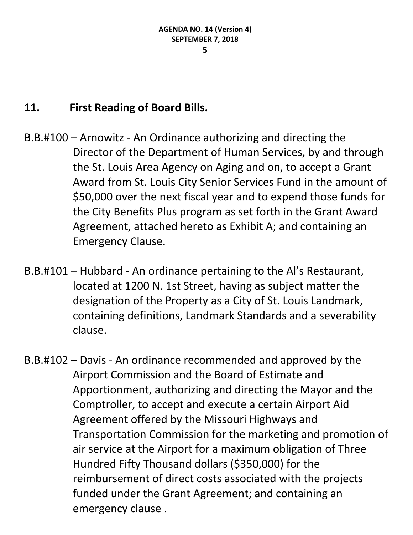## **11. First Reading of Board Bills.**

- B.B.#100 Arnowitz An Ordinance authorizing and directing the Director of the Department of Human Services, by and through the St. Louis Area Agency on Aging and on, to accept a Grant Award from St. Louis City Senior Services Fund in the amount of \$50,000 over the next fiscal year and to expend those funds for the City Benefits Plus program as set forth in the Grant Award Agreement, attached hereto as Exhibit A; and containing an Emergency Clause.
- B.B.#101 Hubbard An ordinance pertaining to the Al's Restaurant, located at 1200 N. 1st Street, having as subject matter the designation of the Property as a City of St. Louis Landmark, containing definitions, Landmark Standards and a severability clause.
- B.B.#102 Davis An ordinance recommended and approved by the Airport Commission and the Board of Estimate and Apportionment, authorizing and directing the Mayor and the Comptroller, to accept and execute a certain Airport Aid Agreement offered by the Missouri Highways and Transportation Commission for the marketing and promotion of air service at the Airport for a maximum obligation of Three Hundred Fifty Thousand dollars (\$350,000) for the reimbursement of direct costs associated with the projects funded under the Grant Agreement; and containing an emergency clause .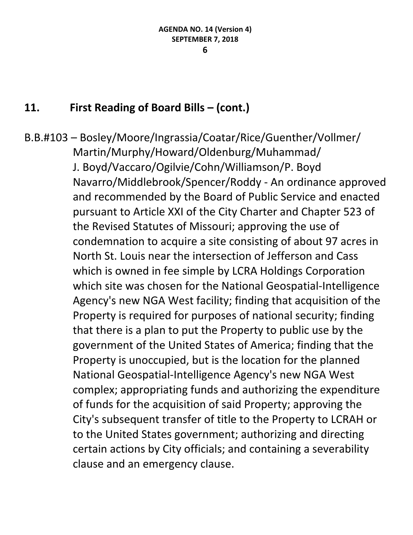#### **11. First Reading of Board Bills – (cont.)**

B.B.#103 – Bosley/Moore/Ingrassia/Coatar/Rice/Guenther/Vollmer/ Martin/Murphy/Howard/Oldenburg/Muhammad/ J. Boyd/Vaccaro/Ogilvie/Cohn/Williamson/P. Boyd Navarro/Middlebrook/Spencer/Roddy - An ordinance approved and recommended by the Board of Public Service and enacted pursuant to Article XXI of the City Charter and Chapter 523 of the Revised Statutes of Missouri; approving the use of condemnation to acquire a site consisting of about 97 acres in North St. Louis near the intersection of Jefferson and Cass which is owned in fee simple by LCRA Holdings Corporation which site was chosen for the National Geospatial-Intelligence Agency's new NGA West facility; finding that acquisition of the Property is required for purposes of national security; finding that there is a plan to put the Property to public use by the government of the United States of America; finding that the Property is unoccupied, but is the location for the planned National Geospatial-Intelligence Agency's new NGA West complex; appropriating funds and authorizing the expenditure of funds for the acquisition of said Property; approving the City's subsequent transfer of title to the Property to LCRAH or to the United States government; authorizing and directing certain actions by City officials; and containing a severability clause and an emergency clause.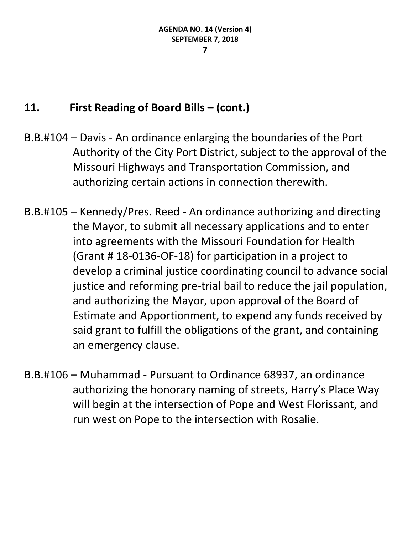#### **11. First Reading of Board Bills – (cont.)**

- B.B.#104 Davis An ordinance enlarging the boundaries of the Port Authority of the City Port District, subject to the approval of the Missouri Highways and Transportation Commission, and authorizing certain actions in connection therewith.
- B.B.#105 Kennedy/Pres. Reed An ordinance authorizing and directing the Mayor, to submit all necessary applications and to enter into agreements with the Missouri Foundation for Health (Grant # 18-0136-OF-18) for participation in a project to develop a criminal justice coordinating council to advance social justice and reforming pre-trial bail to reduce the jail population, and authorizing the Mayor, upon approval of the Board of Estimate and Apportionment, to expend any funds received by said grant to fulfill the obligations of the grant, and containing an emergency clause.
- B.B.#106 Muhammad Pursuant to Ordinance 68937, an ordinance authorizing the honorary naming of streets, Harry's Place Way will begin at the intersection of Pope and West Florissant, and run west on Pope to the intersection with Rosalie.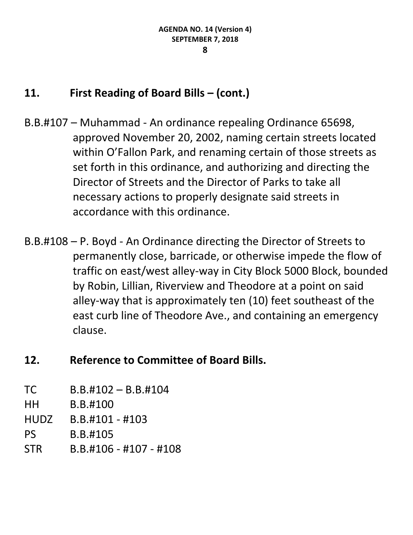#### **11. First Reading of Board Bills – (cont.)**

- B.B.#107 Muhammad An ordinance repealing Ordinance 65698, approved November 20, 2002, naming certain streets located within O'Fallon Park, and renaming certain of those streets as set forth in this ordinance, and authorizing and directing the Director of Streets and the Director of Parks to take all necessary actions to properly designate said streets in accordance with this ordinance.
- B.B.#108 P. Boyd An Ordinance directing the Director of Streets to permanently close, barricade, or otherwise impede the flow of traffic on east/west alley-way in City Block 5000 Block, bounded by Robin, Lillian, Riverview and Theodore at a point on said alley-way that is approximately ten (10) feet southeast of the east curb line of Theodore Ave., and containing an emergency clause.

## **12. Reference to Committee of Board Bills.**

| TC          | $B.B.#102 - B.B.#104$  |
|-------------|------------------------|
| HН          | B.B.#100               |
| <b>HUDZ</b> | $B.B.#101 - #103$      |
| <b>PS</b>   | B.B.#105               |
| <b>STR</b>  | B.B.#106 - #107 - #108 |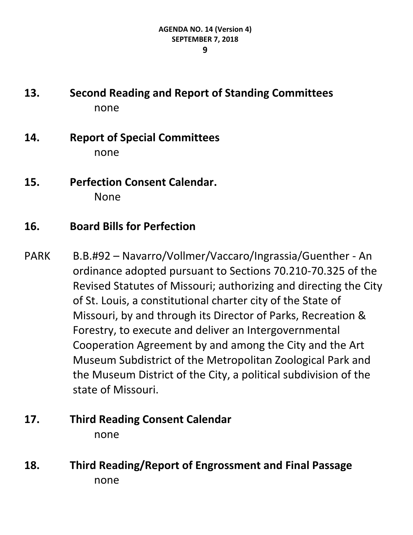- **13. Second Reading and Report of Standing Committees** none
- **14. Report of Special Committees** none
- **15. Perfection Consent Calendar.** None
- **16. Board Bills for Perfection**
- PARK B.B.#92 Navarro/Vollmer/Vaccaro/Ingrassia/Guenther An ordinance adopted pursuant to Sections 70.210-70.325 of the Revised Statutes of Missouri; authorizing and directing the City of St. Louis, a constitutional charter city of the State of Missouri, by and through its Director of Parks, Recreation & Forestry, to execute and deliver an Intergovernmental Cooperation Agreement by and among the City and the Art Museum Subdistrict of the Metropolitan Zoological Park and the Museum District of the City, a political subdivision of the state of Missouri.

## **17. Third Reading Consent Calendar** none

**18. Third Reading/Report of Engrossment and Final Passage** none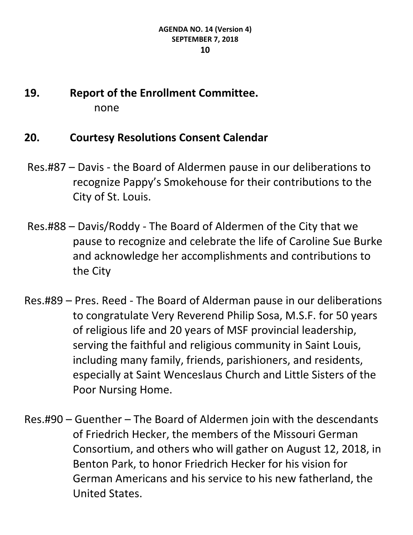# **19. Report of the Enrollment Committee.** none

#### **20. Courtesy Resolutions Consent Calendar**

- Res.#87 Davis the Board of Aldermen pause in our deliberations to recognize Pappy's Smokehouse for their contributions to the City of St. Louis.
- Res.#88 Davis/Roddy The Board of Aldermen of the City that we pause to recognize and celebrate the life of Caroline Sue Burke and acknowledge her accomplishments and contributions to the City
- Res.#89 Pres. Reed The Board of Alderman pause in our deliberations to congratulate Very Reverend Philip Sosa, M.S.F. for 50 years of religious life and 20 years of MSF provincial leadership, serving the faithful and religious community in Saint Louis, including many family, friends, parishioners, and residents, especially at Saint Wenceslaus Church and Little Sisters of the Poor Nursing Home.
- Res.#90 Guenther The Board of Aldermen join with the descendants of Friedrich Hecker, the members of the Missouri German Consortium, and others who will gather on August 12, 2018, in Benton Park, to honor Friedrich Hecker for his vision for German Americans and his service to his new fatherland, the United States.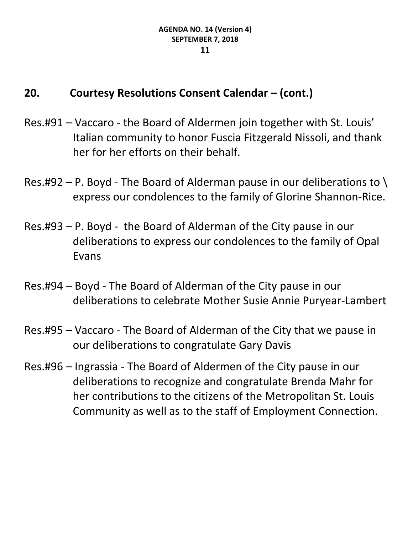## **20. Courtesy Resolutions Consent Calendar – (cont.)**

- Res.#91 Vaccaro the Board of Aldermen join together with St. Louis' Italian community to honor Fuscia Fitzgerald Nissoli, and thank her for her efforts on their behalf.
- Res.#92 P. Boyd The Board of Alderman pause in our deliberations to  $\setminus$ express our condolences to the family of Glorine Shannon-Rice.
- Res.#93 P. Boyd the Board of Alderman of the City pause in our deliberations to express our condolences to the family of Opal Evans
- Res.#94 Boyd The Board of Alderman of the City pause in our deliberations to celebrate Mother Susie Annie Puryear-Lambert
- Res.#95 Vaccaro The Board of Alderman of the City that we pause in our deliberations to congratulate Gary Davis
- Res.#96 Ingrassia The Board of Aldermen of the City pause in our deliberations to recognize and congratulate Brenda Mahr for her contributions to the citizens of the Metropolitan St. Louis Community as well as to the staff of Employment Connection.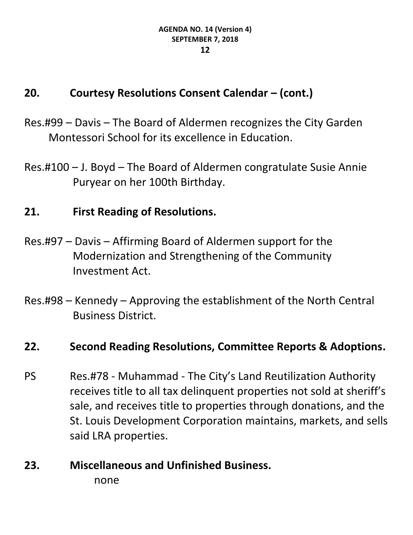## **20. Courtesy Resolutions Consent Calendar – (cont.)**

- Res.#99 Davis The Board of Aldermen recognizes the City Garden Montessori School for its excellence in Education.
- Res.#100 J. Boyd The Board of Aldermen congratulate Susie Annie Puryear on her 100th Birthday.

#### **21. First Reading of Resolutions.**

- Res.#97 Davis Affirming Board of Aldermen support for the Modernization and Strengthening of the Community Investment Act.
- Res.#98 Kennedy Approving the establishment of the North Central Business District.

#### **22. Second Reading Resolutions, Committee Reports & Adoptions.**

PS Res.#78 - Muhammad - The City's Land Reutilization Authority receives title to all tax delinquent properties not sold at sheriff's sale, and receives title to properties through donations, and the St. Louis Development Corporation maintains, markets, and sells said LRA properties.

# **23. Miscellaneous and Unfinished Business.** none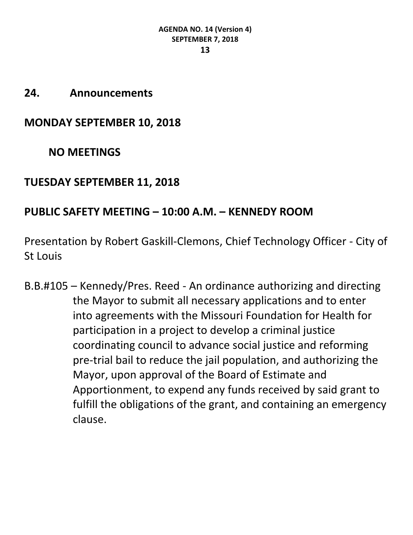#### **24. Announcements**

**MONDAY SEPTEMBER 10, 2018**

**NO MEETINGS**

#### **TUESDAY SEPTEMBER 11, 2018**

#### **PUBLIC SAFETY MEETING – 10:00 A.M. – KENNEDY ROOM**

Presentation by Robert Gaskill-Clemons, Chief Technology Officer - City of St Louis

B.B.#105 – Kennedy/Pres. Reed - An ordinance authorizing and directing the Mayor to submit all necessary applications and to enter into agreements with the Missouri Foundation for Health for participation in a project to develop a criminal justice coordinating council to advance social justice and reforming pre-trial bail to reduce the jail population, and authorizing the Mayor, upon approval of the Board of Estimate and Apportionment, to expend any funds received by said grant to fulfill the obligations of the grant, and containing an emergency clause.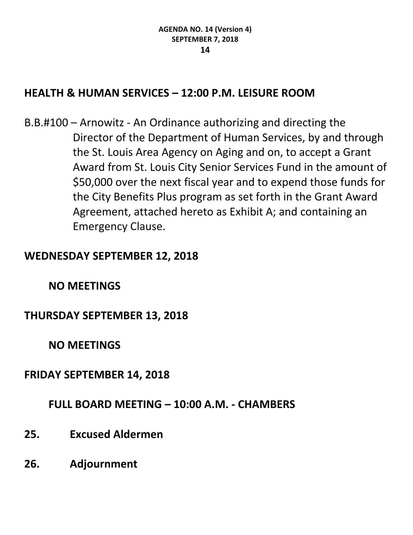## **HEALTH & HUMAN SERVICES – 12:00 P.M. LEISURE ROOM**

B.B.#100 – Arnowitz - An Ordinance authorizing and directing the Director of the Department of Human Services, by and through the St. Louis Area Agency on Aging and on, to accept a Grant Award from St. Louis City Senior Services Fund in the amount of \$50,000 over the next fiscal year and to expend those funds for the City Benefits Plus program as set forth in the Grant Award Agreement, attached hereto as Exhibit A; and containing an Emergency Clause.

#### **WEDNESDAY SEPTEMBER 12, 2018**

#### **NO MEETINGS**

#### **THURSDAY SEPTEMBER 13, 2018**

**NO MEETINGS**

#### **FRIDAY SEPTEMBER 14, 2018**

#### **FULL BOARD MEETING – 10:00 A.M. - CHAMBERS**

- **25. Excused Aldermen**
- **26. Adjournment**